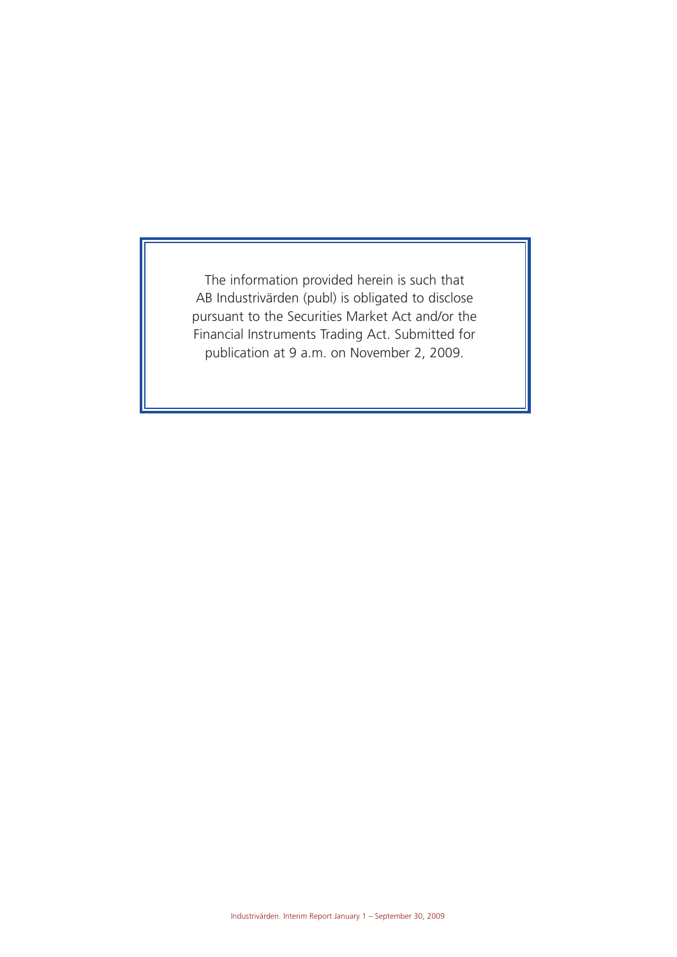The information provided herein is such that AB Industrivärden (publ) is obligated to disclose pursuant to the Securities Market Act and/or the Financial Instruments Trading Act. Submitted for publication at 9 a.m. on November 2, 2009.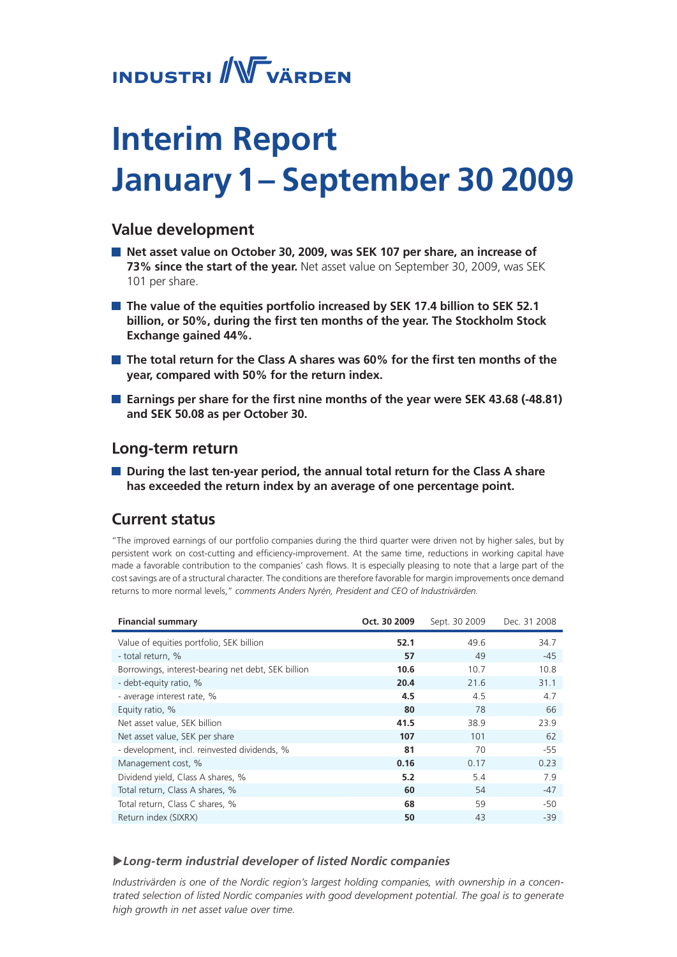# **INDUSTRI** WVÄRDEN

# **Interim Report January 1– September 30 2009**

## **Value development**

- **Net asset value on October 30, 2009, was SEK 107 per share, an increase of 73% since the start of the year.** Net asset value on September 30, 2009, was SEK 101 per share.
- The value of the equities portfolio increased by SEK 17.4 billion to SEK 52.1 **billion, or 50%, during the first ten months of the year. The Stockholm Stock Exchange gained 44%.**
- **The total return for the Class A shares was 60% for the first ten months of the year, compared with 50% for the return index.**
- **E** Earnings per share for the first nine months of the year were SEK 43.68 (-48.81) **and SEK 50.08 as per October 30.**

## **Long-term return**

**During the last ten-year period, the annual total return for the Class A share has exceeded the return index by an average of one percentage point.**

## **Current status**

"The improved earnings of our portfolio companies during the third quarter were driven not by higher sales, but by persistent work on cost-cutting and efficiency-improvement. At the same time, reductions in working capital have made a favorable contribution to the companies' cash flows. It is especially pleasing to note that a large part of the cost savings are of a structural character. The conditions are therefore favorable for margin improvements once demand returns to more normal levels," *comments Anders Nyrén, President and CEO of Industrivärden.* 

| <b>Financial summary</b>                           | Oct. 30 2009 | Sept. 30 2009 | Dec. 31 2008 |
|----------------------------------------------------|--------------|---------------|--------------|
| Value of equities portfolio, SEK billion           | 52.1         | 49.6          | 34.7         |
| - total return, %                                  | 57           | 49            | $-45$        |
| Borrowings, interest-bearing net debt, SEK billion | 10.6         | 10.7          | 10.8         |
| - debt-equity ratio, %                             | 20.4         | 21.6          | 31.1         |
| - average interest rate, %                         | 4.5          | 4.5           | 4.7          |
| Equity ratio, %                                    | 80           | 78            | 66           |
| Net asset value, SEK billion                       | 41.5         | 38.9          | 23.9         |
| Net asset value, SEK per share                     | 107          | 101           | 62           |
| - development, incl. reinvested dividends, %       | 81           | 70            | $-55$        |
| Management cost, %                                 | 0.16         | 0.17          | 0.23         |
| Dividend yield, Class A shares, %                  | 5.2          | 5.4           | 7.9          |
| Total return, Class A shares, %                    | 60           | 54            | $-47$        |
| Total return, Class C shares, %                    | 68           | 59            | -50          |
| Return index (SIXRX)                               | 50           | 43            | $-39$        |

### u*Long-term industrial developer of listed Nordic companies*

*Industrivärden is one of the Nordic region's largest holding companies, with ownership in a concentrated selection of listed Nordic companies with good development potential. The goal is to generate high growth in net asset value over time.*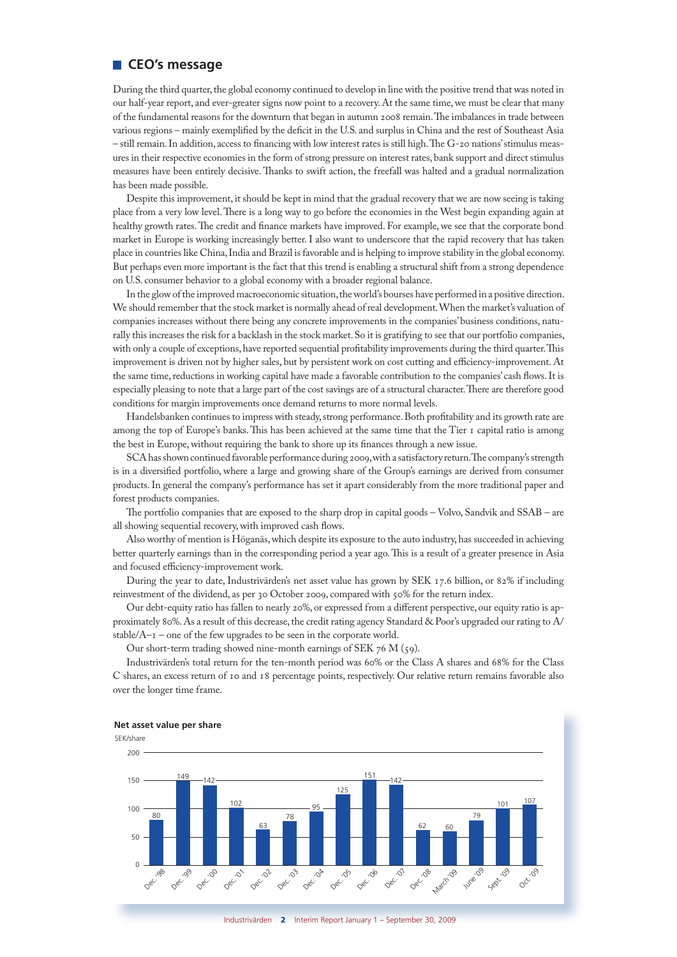### **CEO's message**

During the third quarter, the global economy continued to develop in line with the positive trend that was noted in our half-year report, and ever-greater signs now point to a recovery. At the same time, we must be clear that many of the fundamental reasons for the downturn that began in autumn 2008 remain. The imbalances in trade between various regions – mainly exemplified by the deficit in the U.S. and surplus in China and the rest of Southeast Asia – still remain. In addition, access to financing with low interest rates is still high. The G-20 nations' stimulus measures in their respective economies in the form of strong pressure on interest rates, bank support and direct stimulus measures have been entirely decisive. Thanks to swift action, the freefall was halted and a gradual normalization has been made possible.

Despite this improvement, it should be kept in mind that the gradual recovery that we are now seeing is taking place from a very low level. There is a long way to go before the economies in the West begin expanding again at healthy growth rates. The credit and finance markets have improved. For example, we see that the corporate bond market in Europe is working increasingly better. I also want to underscore that the rapid recovery that has taken place in countries like China, India and Brazil is favorable and is helping to improve stability in the global economy. But perhaps even more important is the fact that this trend is enabling a structural shift from a strong dependence on U.S. consumer behavior to a global economy with a broader regional balance.

In the glow of the improved macroeconomic situation, the world's bourses have performed in a positive direction. We should remember that the stock market is normally ahead of real development. When the market's valuation of companies increases without there being any concrete improvements in the companies' business conditions, naturally this increases the risk for a backlash in the stock market. So it is gratifying to see that our portfolio companies, with only a couple of exceptions, have reported sequential profitability improvements during the third quarter. This improvement is driven not by higher sales, but by persistent work on cost cutting and efficiency-improvement. At the same time, reductions in working capital have made a favorable contribution to the companies' cash flows. It is especially pleasing to note that a large part of the cost savings are of a structural character. There are therefore good conditions for margin improvements once demand returns to more normal levels.

Handelsbanken continues to impress with steady, strong performance. Both profitability and its growth rate are among the top of Europe's banks. This has been achieved at the same time that the Tier 1 capital ratio is among the best in Europe, without requiring the bank to shore up its finances through a new issue.

SCA has shown continued favorable performance during 2009, with a satisfactory return. The company's strength is in a diversified portfolio, where a large and growing share of the Group's earnings are derived from consumer products. In general the company's performance has set it apart considerably from the more traditional paper and forest products companies.

The portfolio companies that are exposed to the sharp drop in capital goods – Volvo, Sandvik and SSAB – are all showing sequential recovery, with improved cash flows.

Also worthy of mention is Höganäs, which despite its exposure to the auto industry, has succeeded in achieving better quarterly earnings than in the corresponding period a year ago. This is a result of a greater presence in Asia and focused efficiency-improvement work.

During the year to date, Industrivärden's net asset value has grown by SEK 17.6 billion, or 82% if including reinvestment of the dividend, as per 30 October 2009, compared with 50% for the return index.

Our debt-equity ratio has fallen to nearly 20%, or expressed from a different perspective, our equity ratio is approximately 80%. As a result of this decrease, the credit rating agency Standard & Poor's upgraded our rating to A/ stable/ $A$ – $I$  – one of the few upgrades to be seen in the corporate world.

Our short-term trading showed nine-month earnings of SEK 76 M (59).

Industrivärden's total return for the ten-month period was 60% or the Class A shares and 68% for the Class C shares, an excess return of 10 and 18 percentage points, respectively. Our relative return remains favorable also over the longer time frame.





Industrivärden 2 Interim Report January 1 – September 30, 2009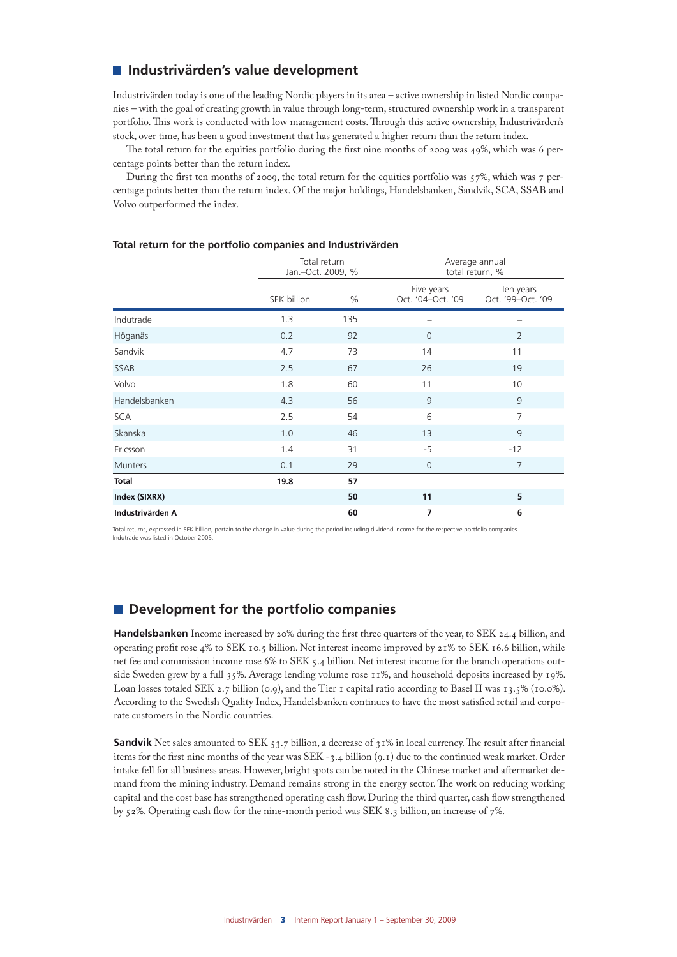## **Industrivärden's value development**

Industrivärden today is one of the leading Nordic players in its area – active ownership in listed Nordic companies – with the goal of creating growth in value through long-term, structured ownership work in a transparent portfolio. This work is conducted with low management costs. Through this active ownership, Industrivärden's stock, over time, has been a good investment that has generated a higher return than the return index.

The total return for the equities portfolio during the first nine months of 2009 was 49%, which was 6 percentage points better than the return index.

During the first ten months of 2009, the total return for the equities portfolio was  $57\%$ , which was 7 percentage points better than the return index. Of the major holdings, Handelsbanken, Sandvik, SCA, SSAB and Volvo outperformed the index.

|                  |             | Total return<br>Jan.-Oct. 2009, % |                                 | Average annual<br>total return, % |
|------------------|-------------|-----------------------------------|---------------------------------|-----------------------------------|
|                  | SEK billion | $\%$                              | Five years<br>Oct. '04-Oct. '09 | Ten years<br>Oct. '99-Oct. '09    |
| Indutrade        | 1.3         | 135                               | -                               | —                                 |
| Höganäs          | 0.2         | 92                                | $\mathbf{0}$                    | $\overline{2}$                    |
| Sandvik          | 4.7         | 73                                | 14                              | 11                                |
| SSAB             | 2.5         | 67                                | 26                              | 19                                |
| Volvo            | 1.8         | 60                                | 11                              | 10                                |
| Handelsbanken    | 4.3         | 56                                | 9                               | 9                                 |
| <b>SCA</b>       | 2.5         | 54                                | 6                               | $\overline{7}$                    |
| Skanska          | 1.0         | 46                                | 13                              | 9                                 |
| Ericsson         | 1.4         | 31                                | $-5$                            | $-12$                             |
| <b>Munters</b>   | 0.1         | 29                                | $\overline{0}$                  | $\overline{7}$                    |
| <b>Total</b>     | 19.8        | 57                                |                                 |                                   |
| Index (SIXRX)    |             | 50                                | 11                              | 5                                 |
| Industrivärden A |             | 60                                | 7<br>6                          |                                   |

#### **Total return for the portfolio companies and Industrivärden**

Total returns, expressed in SEK billion, pertain to the change in value during the period including dividend income for the respective portfolio companies. Indutrade was listed in October 2005.

## $\blacksquare$  Development for the portfolio companies

**Handelsbanken** Income increased by 20% during the first three quarters of the year, to SEK 24.4 billion, and operating profit rose 4% to SEK 10.5 billion. Net interest income improved by 21% to SEK 16.6 billion, while net fee and commission income rose 6% to SEK 5.4 billion. Net interest income for the branch operations outside Sweden grew by a full 35%. Average lending volume rose 11%, and household deposits increased by 19%. Loan losses totaled SEK 2.7 billion (0.9), and the Tier 1 capital ratio according to Basel II was 13.5% (10.0%). According to the Swedish Quality Index, Handelsbanken continues to have the most satisfied retail and corporate customers in the Nordic countries.

**Sandvik** Net sales amounted to SEK 53.7 billion, a decrease of 31% in local currency. The result after financial items for the first nine months of the year was SEK -3.4 billion (9.1) due to the continued weak market. Order intake fell for all business areas. However, bright spots can be noted in the Chinese market and aftermarket demand from the mining industry. Demand remains strong in the energy sector. The work on reducing working capital and the cost base has strengthened operating cash flow. During the third quarter, cash flow strengthened by 52%. Operating cash flow for the nine-month period was SEK 8.3 billion, an increase of 7%.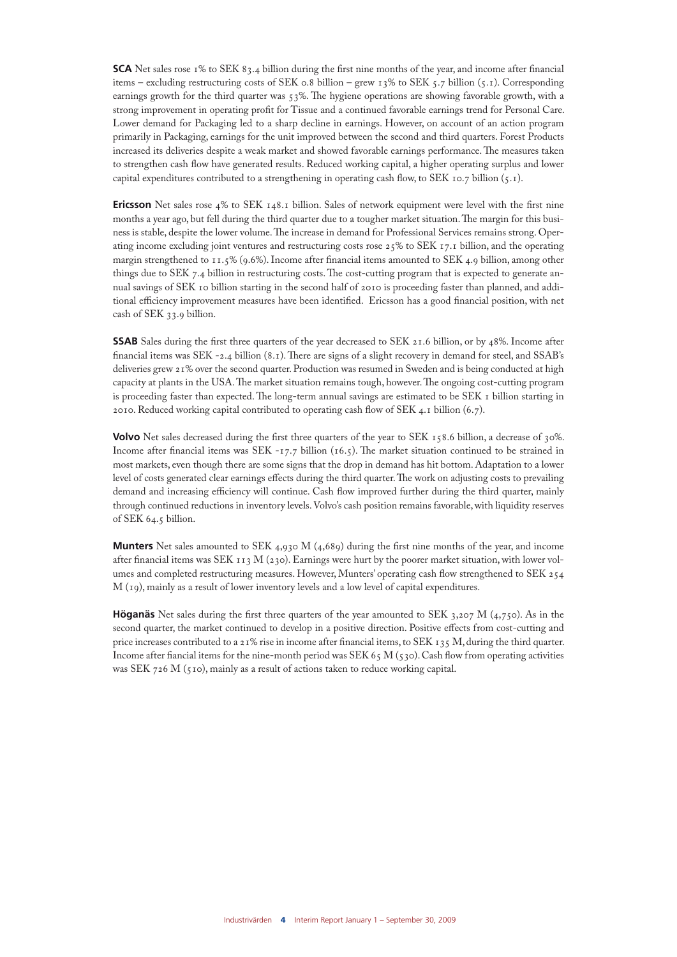**SCA** Net sales rose 1% to SEK 83.4 billion during the first nine months of the year, and income after financial items – excluding restructuring costs of SEK 0.8 billion – grew  $13\%$  to SEK 5.7 billion (5.1). Corresponding earnings growth for the third quarter was 53%. The hygiene operations are showing favorable growth, with a strong improvement in operating profit for Tissue and a continued favorable earnings trend for Personal Care. Lower demand for Packaging led to a sharp decline in earnings. However, on account of an action program primarily in Packaging, earnings for the unit improved between the second and third quarters. Forest Products increased its deliveries despite a weak market and showed favorable earnings performance. The measures taken to strengthen cash flow have generated results. Reduced working capital, a higher operating surplus and lower capital expenditures contributed to a strengthening in operating cash flow, to SEK 10.7 billion  $(5.1)$ .

**Ericsson** Net sales rose 4% to SEK 148.1 billion. Sales of network equipment were level with the first nine months a year ago, but fell during the third quarter due to a tougher market situation. The margin for this business is stable, despite the lower volume. The increase in demand for Professional Services remains strong. Operating income excluding joint ventures and restructuring costs rose 25% to SEK 17.1 billion, and the operating margin strengthened to 11.5% (9.6%). Income after financial items amounted to SEK 4.9 billion, among other things due to SEK 7.4 billion in restructuring costs. The cost-cutting program that is expected to generate annual savings of SEK 10 billion starting in the second half of 2010 is proceeding faster than planned, and additional efficiency improvement measures have been identified. Ericsson has a good financial position, with net cash of SEK 33.9 billion.

**SSAB** Sales during the first three quarters of the year decreased to SEK 21.6 billion, or by 48%. Income after financial items was SEK -2.4 billion (8.1). There are signs of a slight recovery in demand for steel, and SSAB's deliveries grew 21% over the second quarter. Production was resumed in Sweden and is being conducted at high capacity at plants in the USA. The market situation remains tough, however. The ongoing cost-cutting program is proceeding faster than expected. The long-term annual savings are estimated to be SEK 1 billion starting in 2010. Reduced working capital contributed to operating cash flow of SEK 4.1 billion (6.7).

**Volvo** Net sales decreased during the first three quarters of the year to SEK 158.6 billion, a decrease of 30%. Income after financial items was SEK -17.7 billion (16.5). The market situation continued to be strained in most markets, even though there are some signs that the drop in demand has hit bottom. Adaptation to a lower level of costs generated clear earnings effects during the third quarter. The work on adjusting costs to prevailing demand and increasing efficiency will continue. Cash flow improved further during the third quarter, mainly through continued reductions in inventory levels. Volvo's cash position remains favorable, with liquidity reserves of SEK 64.5 billion.

**Munters** Net sales amounted to SEK 4,930 M (4,689) during the first nine months of the year, and income after financial items was SEK 113 M (230). Earnings were hurt by the poorer market situation, with lower volumes and completed restructuring measures. However, Munters' operating cash flow strengthened to SEK 254 M (19), mainly as a result of lower inventory levels and a low level of capital expenditures.

**Höganäs** Net sales during the first three quarters of the year amounted to SEK 3,207 M (4,750). As in the second quarter, the market continued to develop in a positive direction. Positive effects from cost-cutting and price increases contributed to a 21% rise in income after financial items, to SEK 135 M, during the third quarter. Income after fiancial items for the nine-month period was SEK 65 M (530). Cash flow from operating activities was SEK 726 M (510), mainly as a result of actions taken to reduce working capital.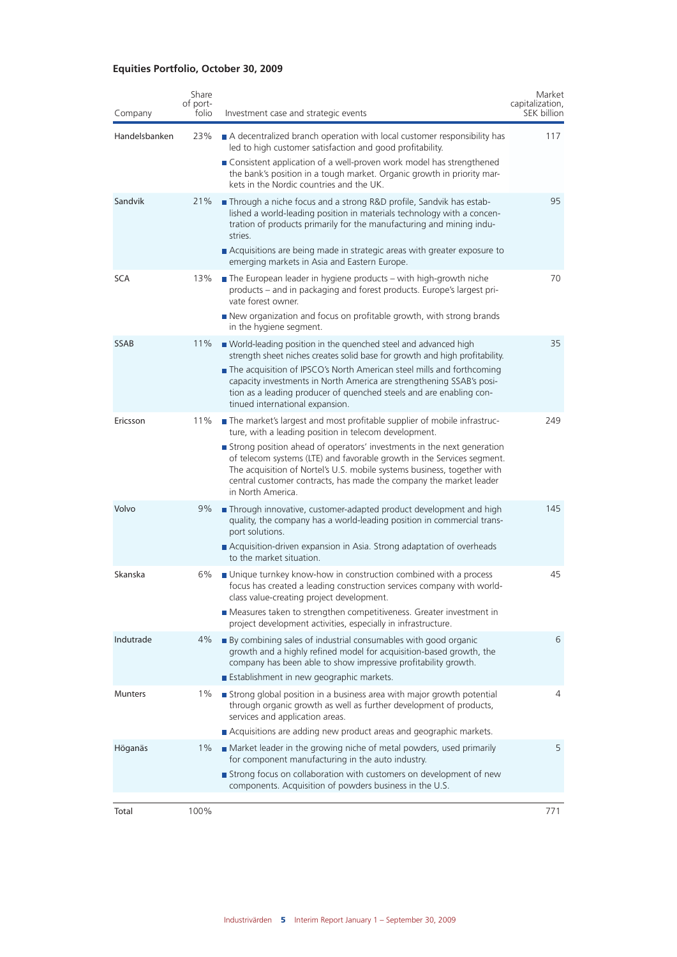## **Equities Portfolio, October 30, 2009**

| Company        | Share<br>of port-<br>folio | Investment case and strategic events                                                                                                                                                                                                                                                                                   | Market<br>capitalization,<br>SEK billion |
|----------------|----------------------------|------------------------------------------------------------------------------------------------------------------------------------------------------------------------------------------------------------------------------------------------------------------------------------------------------------------------|------------------------------------------|
| Handelsbanken  | 23%                        | A decentralized branch operation with local customer responsibility has<br>led to high customer satisfaction and good profitability.                                                                                                                                                                                   | 117                                      |
|                |                            | ■ Consistent application of a well-proven work model has strengthened<br>the bank's position in a tough market. Organic growth in priority mar-<br>kets in the Nordic countries and the UK.                                                                                                                            |                                          |
| Sandvik        | 21%                        | Through a niche focus and a strong R&D profile, Sandvik has estab-<br>lished a world-leading position in materials technology with a concen-<br>tration of products primarily for the manufacturing and mining indu-<br>stries.                                                                                        | 95                                       |
|                |                            | Acquisitions are being made in strategic areas with greater exposure to<br>emerging markets in Asia and Eastern Europe.                                                                                                                                                                                                |                                          |
| <b>SCA</b>     | 13%                        | $\blacksquare$ The European leader in hygiene products – with high-growth niche<br>products - and in packaging and forest products. Europe's largest pri-<br>vate forest owner.                                                                                                                                        | 70                                       |
|                |                            | New organization and focus on profitable growth, with strong brands<br>in the hygiene segment.                                                                                                                                                                                                                         |                                          |
| <b>SSAB</b>    | 11%                        | ■ World-leading position in the quenched steel and advanced high<br>strength sheet niches creates solid base for growth and high profitability.                                                                                                                                                                        | 35                                       |
|                |                            | The acquisition of IPSCO's North American steel mills and forthcoming<br>capacity investments in North America are strengthening SSAB's posi-<br>tion as a leading producer of quenched steels and are enabling con-<br>tinued international expansion.                                                                |                                          |
| Ericsson       | 11%                        | The market's largest and most profitable supplier of mobile infrastruc-<br>ture, with a leading position in telecom development.                                                                                                                                                                                       | 249                                      |
|                |                            | Strong position ahead of operators' investments in the next generation<br>of telecom systems (LTE) and favorable growth in the Services segment.<br>The acquisition of Nortel's U.S. mobile systems business, together with<br>central customer contracts, has made the company the market leader<br>in North America. |                                          |
| Volvo          | 9%                         | Through innovative, customer-adapted product development and high<br>quality, the company has a world-leading position in commercial trans-<br>port solutions.                                                                                                                                                         | 145                                      |
|                |                            | ■ Acquisition-driven expansion in Asia. Strong adaptation of overheads<br>to the market situation.                                                                                                                                                                                                                     |                                          |
| Skanska        | 6%                         | ■ Unique turnkey know-how in construction combined with a process<br>focus has created a leading construction services company with world-<br>class value-creating project development.                                                                                                                                | 45                                       |
|                |                            | Measures taken to strengthen competitiveness. Greater investment in<br>project development activities, especially in infrastructure.                                                                                                                                                                                   |                                          |
| Indutrade      | 4%                         | ■ By combining sales of industrial consumables with good organic<br>growth and a highly refined model for acquisition-based growth, the<br>company has been able to show impressive profitability growth.                                                                                                              | 6                                        |
|                |                            | Establishment in new geographic markets.                                                                                                                                                                                                                                                                               |                                          |
| <b>Munters</b> | 1%                         | Strong global position in a business area with major growth potential<br>through organic growth as well as further development of products,<br>services and application areas.                                                                                                                                         | 4                                        |
|                |                            | Acquisitions are adding new product areas and geographic markets.                                                                                                                                                                                                                                                      |                                          |
| Höganäs        | $1\%$                      | ■ Market leader in the growing niche of metal powders, used primarily<br>for component manufacturing in the auto industry.                                                                                                                                                                                             | 5                                        |
|                |                            | Strong focus on collaboration with customers on development of new<br>components. Acquisition of powders business in the U.S.                                                                                                                                                                                          |                                          |
| Total          | 100%                       |                                                                                                                                                                                                                                                                                                                        | 771                                      |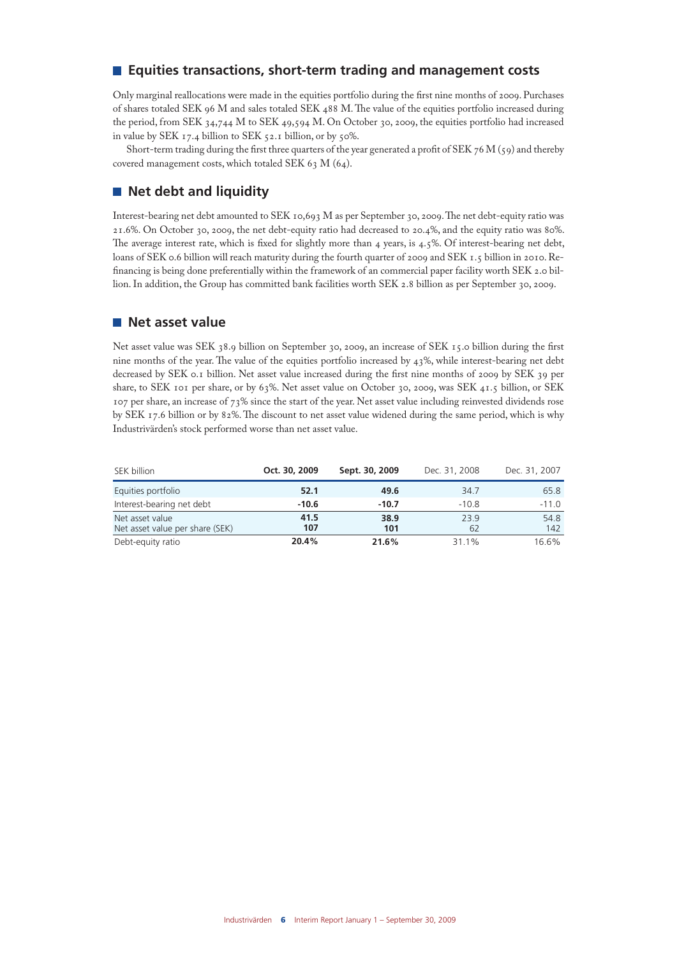## **Equities transactions, short-term trading and management costs**

Only marginal reallocations were made in the equities portfolio during the first nine months of 2009. Purchases of shares totaled SEK 96 M and sales totaled SEK 488 M. The value of the equities portfolio increased during the period, from SEK 34,744 M to SEK 49,594 M. On October 30, 2009, the equities portfolio had increased in value by SEK 17.4 billion to SEK 52.1 billion, or by 50%.

Short-term trading during the first three quarters of the year generated a profit of SEK 76 M (59) and thereby covered management costs, which totaled SEK 63 M (64).

## **Net debt and liquidity**

Interest-bearing net debt amounted to SEK 10,693 M as per September 30, 2009. The net debt-equity ratio was 21.6%. On October 30, 2009, the net debt-equity ratio had decreased to 20.4%, and the equity ratio was 80%. The average interest rate, which is fixed for slightly more than 4 years, is 4.5%. Of interest-bearing net debt, loans of SEK 0.6 billion will reach maturity during the fourth quarter of 2009 and SEK 1.5 billion in 2010. Refinancing is being done preferentially within the framework of an commercial paper facility worth SEK 2.0 billion. In addition, the Group has committed bank facilities worth SEK 2.8 billion as per September 30, 2009.

### **Net asset value**

Net asset value was SEK 38.9 billion on September 30, 2009, an increase of SEK 15.0 billion during the first nine months of the year. The value of the equities portfolio increased by 43%, while interest-bearing net debt decreased by SEK 0.1 billion. Net asset value increased during the first nine months of 2009 by SEK 39 per share, to SEK 101 per share, or by 63%. Net asset value on October 30, 2009, was SEK 41.5 billion, or SEK 107 per share, an increase of 73% since the start of the year. Net asset value including reinvested dividends rose by SEK 17.6 billion or by 82%. The discount to net asset value widened during the same period, which is why Industrivärden's stock performed worse than net asset value.

| SEK billion                                        | Oct. 30, 2009 | Sept. 30, 2009 | Dec. 31, 2008 | Dec. 31, 2007 |
|----------------------------------------------------|---------------|----------------|---------------|---------------|
| Equities portfolio                                 | 52.1          | 49.6           | 34.7          | 65.8          |
| Interest-bearing net debt                          | $-10.6$       | $-10.7$        | $-10.8$       | $-11.0$       |
| Net asset value<br>Net asset value per share (SEK) | 41.5<br>107   | 38.9<br>101    | 23.9<br>62    | 54.8<br>142   |
| Debt-equity ratio                                  | 20.4%         | 21.6%          | 31.1%         | 16.6%         |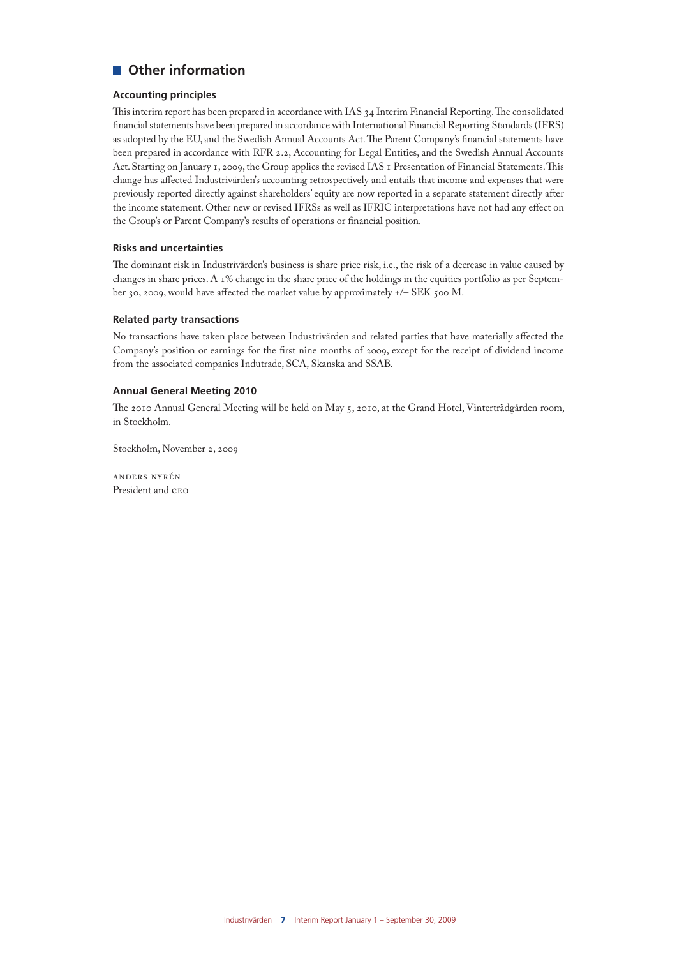## **Other information**

#### **Accounting principles**

This interim report has been prepared in accordance with IAS 34 Interim Financial Reporting. The consolidated financial statements have been prepared in accordance with International Financial Reporting Standards (IFRS) as adopted by the EU, and the Swedish Annual Accounts Act. The Parent Company's financial statements have been prepared in accordance with RFR 2.2, Accounting for Legal Entities, and the Swedish Annual Accounts Act. Starting on January 1, 2009, the Group applies the revised IAS 1 Presentation of Financial Statements. This change has affected Industrivärden's accounting retrospectively and entails that income and expenses that were previously reported directly against shareholders' equity are now reported in a separate statement directly after the income statement. Other new or revised IFRSs as well as IFRIC interpretations have not had any effect on the Group's or Parent Company's results of operations or financial position.

#### **Risks and uncertainties**

The dominant risk in Industrivärden's business is share price risk, i.e., the risk of a decrease in value caused by changes in share prices. A 1% change in the share price of the holdings in the equities portfolio as per September 30, 2009, would have affected the market value by approximately +/- SEK 500 M.

#### **Related party transactions**

No transactions have taken place between Industrivärden and related parties that have materially affected the Company's position or earnings for the first nine months of 2009, except for the receipt of dividend income from the associated companies Indutrade, SCA, Skanska and SSAB.

#### **Annual General Meeting 2010**

The 2010 Annual General Meeting will be held on May 5, 2010, at the Grand Hotel, Vinterträdgården room, in Stockholm.

Stockholm, November 2, 2009

anders nyrén President and CEO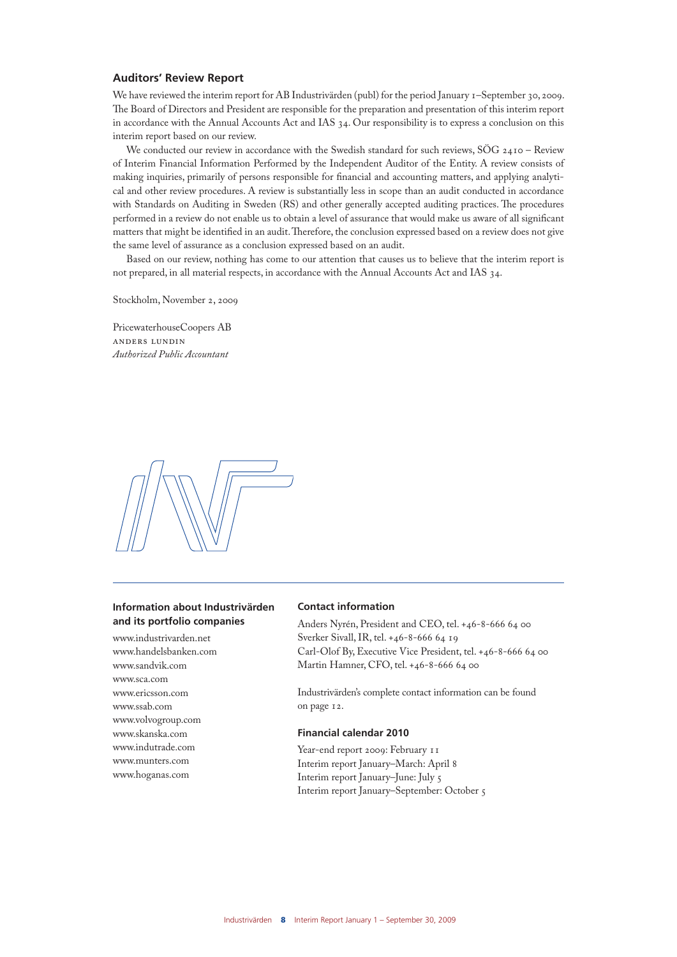#### **Auditors' Review Report**

We have reviewed the interim report for AB Industrivärden (publ) for the period January 1–September 30, 2009. The Board of Directors and President are responsible for the preparation and presentation of this interim report in accordance with the Annual Accounts Act and IAS 34. Our responsibility is to express a conclusion on this interim report based on our review.

We conducted our review in accordance with the Swedish standard for such reviews, SÖG 2410 - Review of Interim Financial Information Performed by the Independent Auditor of the Entity. A review consists of making inquiries, primarily of persons responsible for financial and accounting matters, and applying analytical and other review procedures. A review is substantially less in scope than an audit conducted in accordance with Standards on Auditing in Sweden (RS) and other generally accepted auditing practices. The procedures performed in a review do not enable us to obtain a level of assurance that would make us aware of all significant matters that might be identified in an audit. Therefore, the conclusion expressed based on a review does not give the same level of assurance as a conclusion expressed based on an audit.

Based on our review, nothing has come to our attention that causes us to believe that the interim report is not prepared, in all material respects, in accordance with the Annual Accounts Act and IAS 34.

Stockholm, November 2, 2009

PricewaterhouseCoopers AB anders lundin *Authorized Public Accountant*



#### **Information about Industrivärden and its portfolio companies**

www.industrivarden.net www.handelsbanken.com www.sandvik.com www.sca.com www.ericsson.com www.ssab.com www.volvogroup.com www.skanska.com www.indutrade.com www.munters.com www.hoganas.com

#### **Contact information**

Anders Nyrén, President and CEO, tel. +46-8-666 64 00 Sverker Sivall, IR, tel. +46-8-666 64 19 Carl-Olof By, Executive Vice President, tel. +46-8-666 64 00 Martin Hamner, CFO, tel. +46-8-666 64 00

Industrivärden's complete contact information can be found on page 12.

#### **Financial calendar 2010**

Year-end report 2009: February 11 Interim report January–March: April 8 Interim report January–June: July 5 Interim report January–September: October 5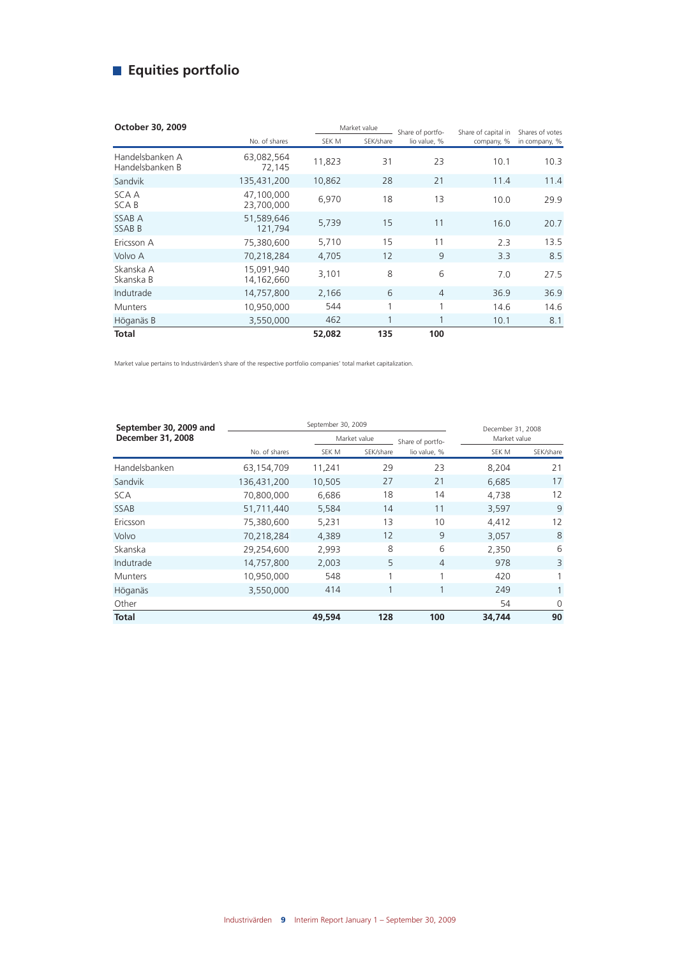## **Equities portfolio**

| October 30, 2009                   |                          | Market value |           | Share of portfo- | Share of capital in | Shares of votes |
|------------------------------------|--------------------------|--------------|-----------|------------------|---------------------|-----------------|
|                                    | No. of shares            | SEK M        | SEK/share | lio value, %     | company, %          | in company, %   |
| Handelsbanken A<br>Handelsbanken B | 63,082,564<br>72,145     | 11,823       | 31        | 23               | 10.1                | 10.3            |
| Sandvik                            | 135,431,200              | 10,862       | 28        | 21               | 11.4                | 11.4            |
| SCA A<br><b>SCAB</b>               | 47,100,000<br>23,700,000 | 6,970        | 18        | 13               | 10.0                | 29.9            |
| SSAB A<br><b>SSABB</b>             | 51.589.646<br>121,794    | 5,739        | 15        | 11               | 16.0                | 20.7            |
| Ericsson A                         | 75,380,600               | 5,710        | 15        | 11               | 2.3                 | 13.5            |
| Volvo A                            | 70,218,284               | 4,705        | 12        | 9                | 3.3                 | 8.5             |
| Skanska A<br>Skanska B             | 15.091.940<br>14,162,660 | 3,101        | 8         | 6                | 7.0                 | 27.5            |
| Indutrade                          | 14,757,800               | 2,166        | 6         | $\overline{4}$   | 36.9                | 36.9            |
| <b>Munters</b>                     | 10,950,000               | 544          | 1         | 1                | 14.6                | 14.6            |
| Höganäs B                          | 3,550,000                | 462          |           | 1                | 10.1                | 8.1             |
| Total                              |                          | 52,082       | 135       | 100              |                     |                 |

Market value pertains to Industrivärden's share of the respective portfolio companies' total market capitalization.

| September 30, 2009 and   |               |        | December 31, 2008 |                  |              |              |
|--------------------------|---------------|--------|-------------------|------------------|--------------|--------------|
| <b>December 31, 2008</b> |               |        | Market value      | Share of portfo- | Market value |              |
|                          | No. of shares | SEK M  | SEK/share         | lio value, %     | SEK M        | SEK/share    |
| Handelsbanken            | 63,154,709    | 11,241 | 29                | 23               | 8.204        | 21           |
| Sandvik                  | 136,431,200   | 10,505 | 27                | 21               | 6.685        | 17           |
| SCA                      | 70,800,000    | 6,686  | 18                | 14               | 4,738        | 12           |
| <b>SSAB</b>              | 51,711,440    | 5,584  | 14                | 11               | 3,597        | 9            |
| Ericsson                 | 75,380,600    | 5,231  | 13                | 10               | 4,412        | 12           |
| Volvo                    | 70,218,284    | 4,389  | 12                | 9                | 3,057        | 8            |
| Skanska                  | 29,254,600    | 2,993  | 8                 | 6                | 2,350        | 6            |
| Indutrade                | 14,757,800    | 2,003  | 5                 | $\overline{4}$   | 978          | 3            |
| <b>Munters</b>           | 10,950,000    | 548    | 1                 | 1                | 420          |              |
| Höganäs                  | 3,550,000     | 414    |                   | 1                | 249          | $\mathbf{1}$ |
| Other                    |               |        |                   |                  | 54           | $\Omega$     |
| <b>Total</b>             |               | 49,594 | 128               | 100              | 34,744       | 90           |
|                          |               |        |                   |                  |              |              |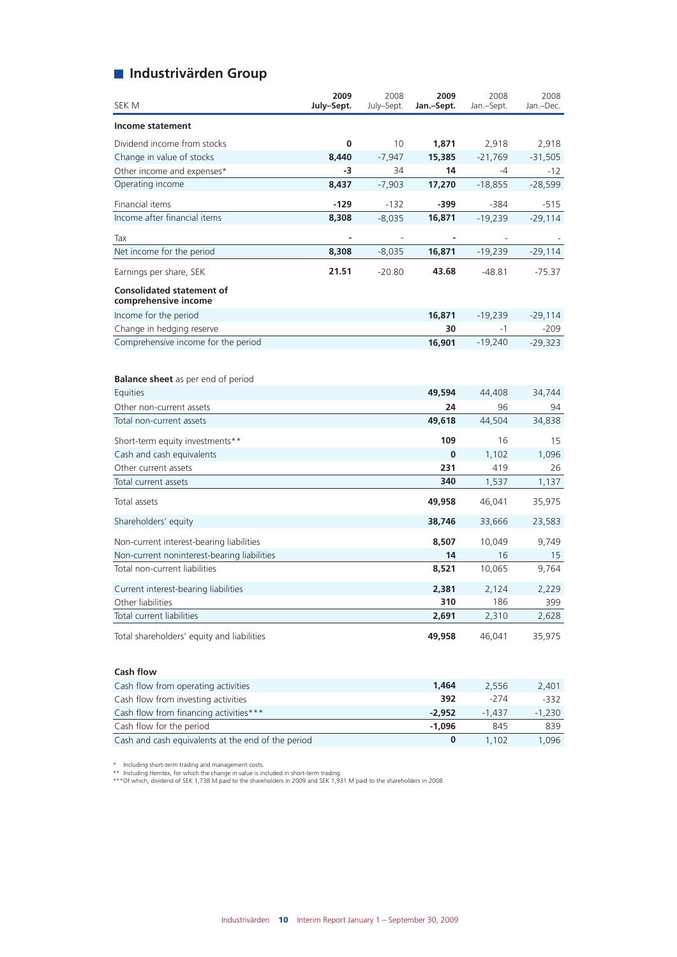## **Industrivärden Group**

| SEK M                                                    | 2009<br>July-Sept. | 2008<br>July-Sept. | 2009<br>Jan.-Sept. | 2008<br>Jan.-Sept. | 2008<br>Jan.-Dec. |
|----------------------------------------------------------|--------------------|--------------------|--------------------|--------------------|-------------------|
| <b>Income statement</b>                                  |                    |                    |                    |                    |                   |
| Dividend income from stocks                              | 0                  | 10                 | 1,871              | 2,918              | 2,918             |
| Change in value of stocks                                | 8,440              | $-7,947$           | 15,385             | $-21,769$          | $-31,505$         |
| Other income and expenses*                               | -3                 | 34                 | 14                 | $-4$               | $-12$             |
| Operating income                                         | 8,437              | $-7,903$           | 17,270             | $-18,855$          | $-28,599$         |
| Financial items                                          | $-129$             | $-132$             | $-399$             | $-384$             | $-515$            |
| Income after financial items                             | 8,308              | $-8,035$           | 16,871             | $-19,239$          | $-29,114$         |
| Tax                                                      |                    |                    |                    |                    |                   |
| Net income for the period                                | 8,308              | $-8,035$           | 16,871             | $-19,239$          | $-29,114$         |
| Earnings per share, SEK                                  | 21.51              | $-20.80$           | 43.68              | $-48.81$           | $-75.37$          |
| <b>Consolidated statement of</b><br>comprehensive income |                    |                    |                    |                    |                   |
| Income for the period                                    |                    |                    | 16,871             | $-19,239$          | $-29,114$         |
| Change in hedging reserve                                |                    |                    | 30                 | $-1$               | $-209$            |
| Comprehensive income for the period                      |                    |                    | 16,901             | $-19,240$          | $-29,323$         |
| <b>Balance sheet</b> as per end of period<br>Equities    |                    |                    | 49,594             | 44,408             | 34,744            |
| Other non-current assets                                 |                    |                    | 24                 | 96                 | 94                |
| Total non-current assets                                 |                    |                    | 49,618             | 44,504             | 34,838            |
| Short-term equity investments**                          |                    |                    | 109                | 16                 | 15                |
| Cash and cash equivalents                                |                    |                    | 0                  | 1,102              | 1,096             |
| Other current assets                                     |                    |                    | 231                | 419                | 26                |
| Total current assets                                     |                    |                    | 340                | 1,537              | 1,137             |
| Total assets                                             |                    |                    | 49,958             | 46,041             | 35,975            |
| Shareholders' equity                                     |                    |                    | 38,746             | 33,666             | 23,583            |
| Non-current interest-bearing liabilities                 |                    |                    | 8,507              | 10,049             | 9,749             |
| Non-current noninterest-bearing liabilities              |                    |                    | 14                 | 16                 | 15                |
| Total non-current liabilities                            |                    |                    | 8,521              | 10,065             | 9,764             |
| Current interest-bearing liabilities                     |                    |                    | 2,381              | 2,124              | 2,229             |
| Other liabilities                                        |                    |                    | 310                | 186                | 399               |
| Total current liabilities                                |                    |                    | 2,691              | 2,310              | 2,628             |
| Total shareholders' equity and liabilities               |                    |                    | 49,958             | 46,041             | 35,975            |
| <b>Cash flow</b>                                         |                    |                    |                    |                    |                   |
|                                                          |                    |                    |                    |                    |                   |

| Cash flow from operating activities                | 1.464    | 2.556  | 2.401    |
|----------------------------------------------------|----------|--------|----------|
| Cash flow from investing activities                | 392      | $-274$ | -332     |
| Cash flow from financing activities***             | $-2.952$ | -1 437 | $-1.230$ |
| Cash flow for the period                           | $-1.096$ | 845    | 839      |
| Cash and cash equivalents at the end of the period |          | 1.102  | 1.096    |

\* Including short-term trading and management costs.<br>\*\* Including Hemtex, for which the change in value is included in short-term trading.<br>\*\*\*Of which, dividend of SEK 1,738 M paid to the shareholders in 2009 and SEK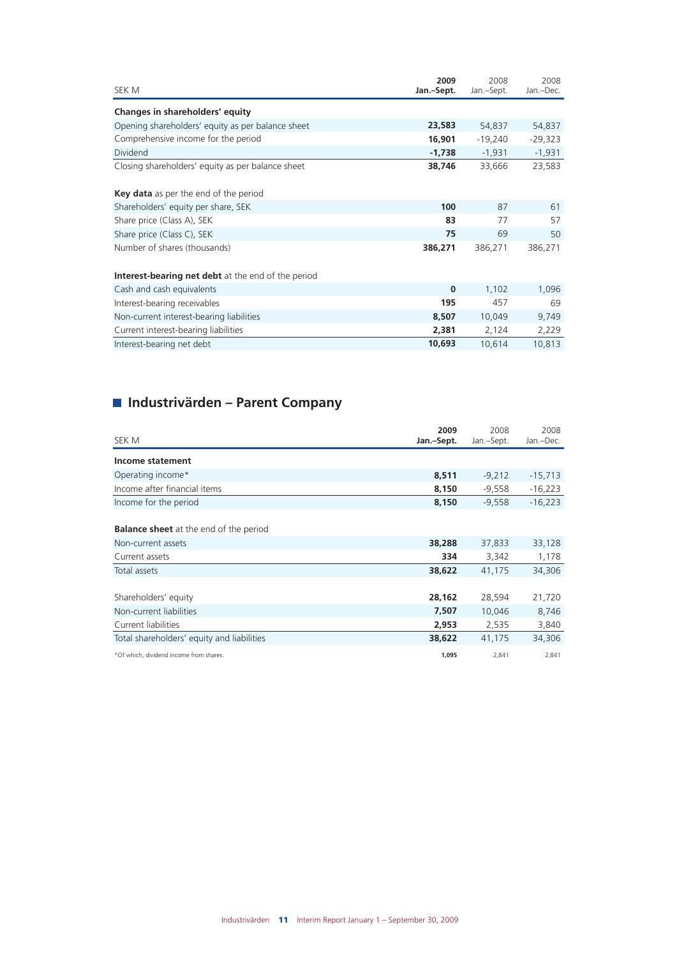| SEK M                                                     | 2009<br>Jan.-Sept. | 2008<br>Jan.-Sept. | 2008<br>Jan.-Dec. |
|-----------------------------------------------------------|--------------------|--------------------|-------------------|
| Changes in shareholders' equity                           |                    |                    |                   |
| Opening shareholders' equity as per balance sheet         | 23,583             | 54,837             | 54,837            |
| Comprehensive income for the period                       | 16,901             | $-19,240$          | $-29,323$         |
| Dividend                                                  | $-1,738$           | $-1,931$           | $-1,931$          |
| Closing shareholders' equity as per balance sheet         | 38,746             | 33,666             | 23,583            |
| <b>Key data</b> as per the end of the period              |                    |                    |                   |
| Shareholders' equity per share, SEK                       | 100                | 87                 | 61                |
| Share price (Class A), SEK                                | 83                 | 77                 | 57                |
| Share price (Class C), SEK                                | 75                 | 69                 | 50                |
| Number of shares (thousands)                              | 386,271            | 386,271            | 386,271           |
| <b>Interest-bearing net debt</b> at the end of the period |                    |                    |                   |
| Cash and cash equivalents                                 | $\bf{0}$           | 1,102              | 1,096             |
| Interest-bearing receivables                              | 195                | 457                | 69                |
| Non-current interest-bearing liabilities                  | 8,507              | 10,049             | 9,749             |
| Current interest-bearing liabilities                      | 2,381              | 2,124              | 2,229             |
| Interest-bearing net debt                                 | 10,693             | 10,614             | 10,813            |
|                                                           |                    |                    |                   |

## **Industrivärden – Parent Company**

| SEK M                                         | 2009<br>Jan.-Sept. | 2008<br>Jan.-Sept. | 2008<br>Jan.-Dec. |
|-----------------------------------------------|--------------------|--------------------|-------------------|
| Income statement                              |                    |                    |                   |
| Operating income*                             | 8,511              | $-9,212$           | $-15,713$         |
| Income after financial items                  | 8,150              | $-9,558$           | $-16,223$         |
| Income for the period                         | 8,150              | $-9,558$           | $-16,223$         |
| <b>Balance sheet</b> at the end of the period |                    |                    |                   |
| Non-current assets                            | 38,288             | 37,833             | 33,128            |
| Current assets                                | 334                | 3,342              | 1,178             |
| Total assets                                  | 38,622             | 41,175             | 34,306            |
|                                               |                    |                    |                   |
| Shareholders' equity                          | 28,162             | 28,594             | 21,720            |
| Non-current liabilities                       | 7,507              | 10,046             | 8,746             |
| Current liabilities                           | 2,953              | 2,535              | 3,840             |
| Total shareholders' equity and liabilities    | 38,622             | 41,175             | 34,306            |
| *Of which, dividend income from shares.       | 1,095              | 2,841              | 2,841             |